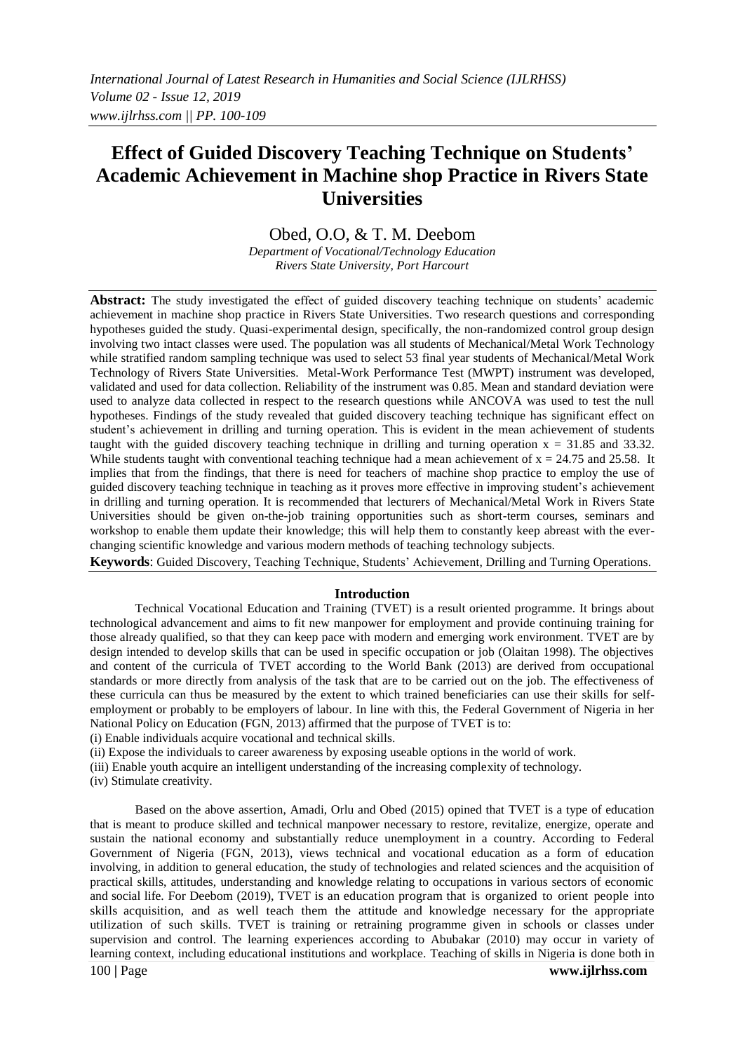# **Effect of Guided Discovery Teaching Technique on Students' Academic Achievement in Machine shop Practice in Rivers State Universities**

# Obed, O.O, & T. M. Deebom

*Department of Vocational/Technology Education Rivers State University, Port Harcourt*

**Abstract:** The study investigated the effect of guided discovery teaching technique on students' academic achievement in machine shop practice in Rivers State Universities. Two research questions and corresponding hypotheses guided the study. Quasi-experimental design, specifically, the non-randomized control group design involving two intact classes were used. The population was all students of Mechanical/Metal Work Technology while stratified random sampling technique was used to select 53 final year students of Mechanical/Metal Work Technology of Rivers State Universities. Metal-Work Performance Test (MWPT) instrument was developed, validated and used for data collection. Reliability of the instrument was 0.85. Mean and standard deviation were used to analyze data collected in respect to the research questions while ANCOVA was used to test the null hypotheses. Findings of the study revealed that guided discovery teaching technique has significant effect on student's achievement in drilling and turning operation. This is evident in the mean achievement of students taught with the guided discovery teaching technique in drilling and turning operation  $x = 31.85$  and 33.32. While students taught with conventional teaching technique had a mean achievement of  $x = 24.75$  and 25.58. It implies that from the findings, that there is need for teachers of machine shop practice to employ the use of guided discovery teaching technique in teaching as it proves more effective in improving student's achievement in drilling and turning operation. It is recommended that lecturers of Mechanical/Metal Work in Rivers State Universities should be given on-the-job training opportunities such as short-term courses, seminars and workshop to enable them update their knowledge; this will help them to constantly keep abreast with the everchanging scientific knowledge and various modern methods of teaching technology subjects.

**Keywords**: Guided Discovery, Teaching Technique, Students' Achievement, Drilling and Turning Operations.

#### **Introduction**

Technical Vocational Education and Training (TVET) is a result oriented programme. It brings about technological advancement and aims to fit new manpower for employment and provide continuing training for those already qualified, so that they can keep pace with modern and emerging work environment. TVET are by design intended to develop skills that can be used in specific occupation or job (Olaitan 1998). The objectives and content of the curricula of TVET according to the World Bank (2013) are derived from occupational standards or more directly from analysis of the task that are to be carried out on the job. The effectiveness of these curricula can thus be measured by the extent to which trained beneficiaries can use their skills for selfemployment or probably to be employers of labour. In line with this, the Federal Government of Nigeria in her National Policy on Education (FGN, 2013) affirmed that the purpose of TVET is to:

(i) Enable individuals acquire vocational and technical skills.

(ii) Expose the individuals to career awareness by exposing useable options in the world of work.

(iii) Enable youth acquire an intelligent understanding of the increasing complexity of technology.

(iv) Stimulate creativity.

100 **|** Page **www.ijlrhss.com** Based on the above assertion, Amadi, Orlu and Obed (2015) opined that TVET is a type of education that is meant to produce skilled and technical manpower necessary to restore, revitalize, energize, operate and sustain the national economy and substantially reduce unemployment in a country. According to Federal Government of Nigeria (FGN, 2013), views technical and vocational education as a form of education involving, in addition to general education, the study of technologies and related sciences and the acquisition of practical skills, attitudes, understanding and knowledge relating to occupations in various sectors of economic and social life. For Deebom (2019), TVET is an education program that is organized to orient people into skills acquisition, and as well teach them the attitude and knowledge necessary for the appropriate utilization of such skills. TVET is training or retraining programme given in schools or classes under supervision and control. The learning experiences according to Abubakar (2010) may occur in variety of learning context, including educational institutions and workplace. Teaching of skills in Nigeria is done both in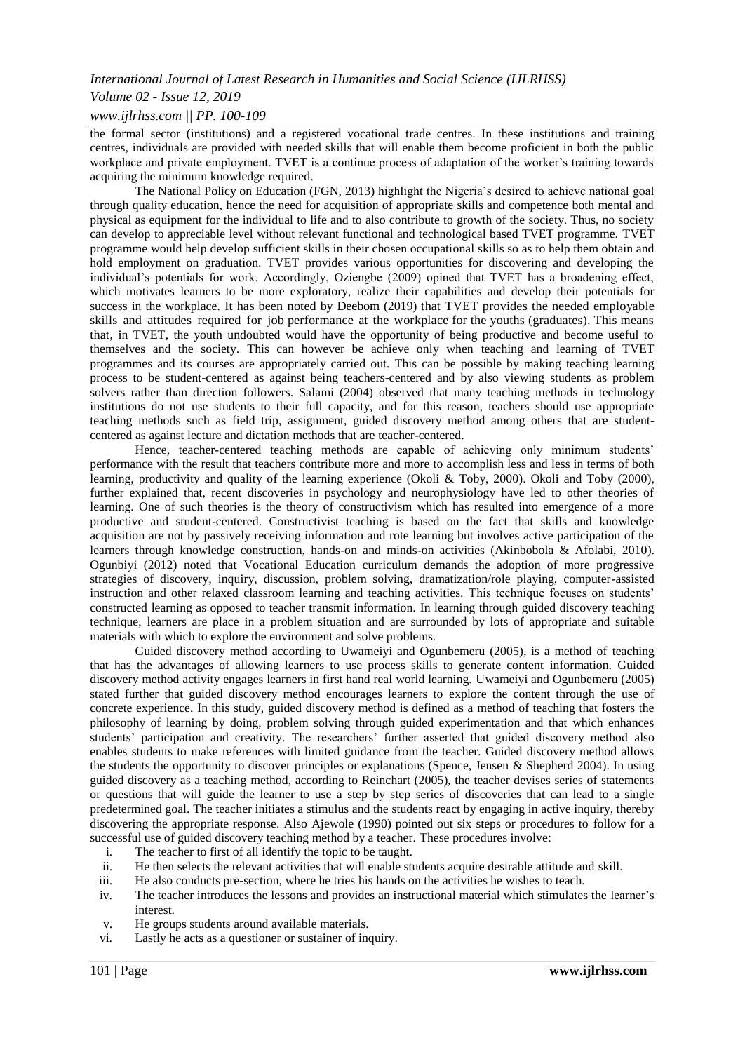# *Volume 02 - Issue 12, 2019*

# *www.ijlrhss.com || PP. 100-109*

the formal sector (institutions) and a registered vocational trade centres. In these institutions and training centres, individuals are provided with needed skills that will enable them become proficient in both the public workplace and private employment. TVET is a continue process of adaptation of the worker's training towards acquiring the minimum knowledge required.

The National Policy on Education (FGN, 2013) highlight the Nigeria's desired to achieve national goal through quality education, hence the need for acquisition of appropriate skills and competence both mental and physical as equipment for the individual to life and to also contribute to growth of the society. Thus, no society can develop to appreciable level without relevant functional and technological based TVET programme. TVET programme would help develop sufficient skills in their chosen occupational skills so as to help them obtain and hold employment on graduation. TVET provides various opportunities for discovering and developing the individual's potentials for work. Accordingly, Oziengbe (2009) opined that TVET has a broadening effect, which motivates learners to be more exploratory, realize their capabilities and develop their potentials for success in the workplace. It has been noted by Deebom (2019) that TVET provides the needed employable skills and attitudes required for job performance at the workplace for the youths (graduates). This means that, in TVET, the youth undoubted would have the opportunity of being productive and become useful to themselves and the society. This can however be achieve only when teaching and learning of TVET programmes and its courses are appropriately carried out. This can be possible by making teaching learning process to be student-centered as against being teachers-centered and by also viewing students as problem solvers rather than direction followers. Salami (2004) observed that many teaching methods in technology institutions do not use students to their full capacity, and for this reason, teachers should use appropriate teaching methods such as field trip, assignment, guided discovery method among others that are studentcentered as against lecture and dictation methods that are teacher-centered.

Hence, teacher-centered teaching methods are capable of achieving only minimum students' performance with the result that teachers contribute more and more to accomplish less and less in terms of both learning, productivity and quality of the learning experience (Okoli & Toby, 2000). Okoli and Toby (2000), further explained that, recent discoveries in psychology and neurophysiology have led to other theories of learning. One of such theories is the theory of constructivism which has resulted into emergence of a more productive and student-centered. Constructivist teaching is based on the fact that skills and knowledge acquisition are not by passively receiving information and rote learning but involves active participation of the learners through knowledge construction, hands-on and minds-on activities (Akinbobola & Afolabi, 2010). Ogunbiyi (2012) noted that Vocational Education curriculum demands the adoption of more progressive strategies of discovery, inquiry, discussion, problem solving, dramatization/role playing, computer-assisted instruction and other relaxed classroom learning and teaching activities. This technique focuses on students' constructed learning as opposed to teacher transmit information. In learning through guided discovery teaching technique, learners are place in a problem situation and are surrounded by lots of appropriate and suitable materials with which to explore the environment and solve problems.

Guided discovery method according to Uwameiyi and Ogunbemeru (2005), is a method of teaching that has the advantages of allowing learners to use process skills to generate content information. Guided discovery method activity engages learners in first hand real world learning. Uwameiyi and Ogunbemeru (2005) stated further that guided discovery method encourages learners to explore the content through the use of concrete experience. In this study, guided discovery method is defined as a method of teaching that fosters the philosophy of learning by doing, problem solving through guided experimentation and that which enhances students' participation and creativity. The researchers' further asserted that guided discovery method also enables students to make references with limited guidance from the teacher. Guided discovery method allows the students the opportunity to discover principles or explanations (Spence, Jensen & Shepherd 2004). In using guided discovery as a teaching method, according to Reinchart (2005), the teacher devises series of statements or questions that will guide the learner to use a step by step series of discoveries that can lead to a single predetermined goal. The teacher initiates a stimulus and the students react by engaging in active inquiry, thereby discovering the appropriate response. Also Ajewole (1990) pointed out six steps or procedures to follow for a successful use of guided discovery teaching method by a teacher. These procedures involve:

- i. The teacher to first of all identify the topic to be taught.
- ii. He then selects the relevant activities that will enable students acquire desirable attitude and skill.
- iii. He also conducts pre-section, where he tries his hands on the activities he wishes to teach.
- iv. The teacher introduces the lessons and provides an instructional material which stimulates the learner's interest.
- v. He groups students around available materials.
- vi. Lastly he acts as a questioner or sustainer of inquiry.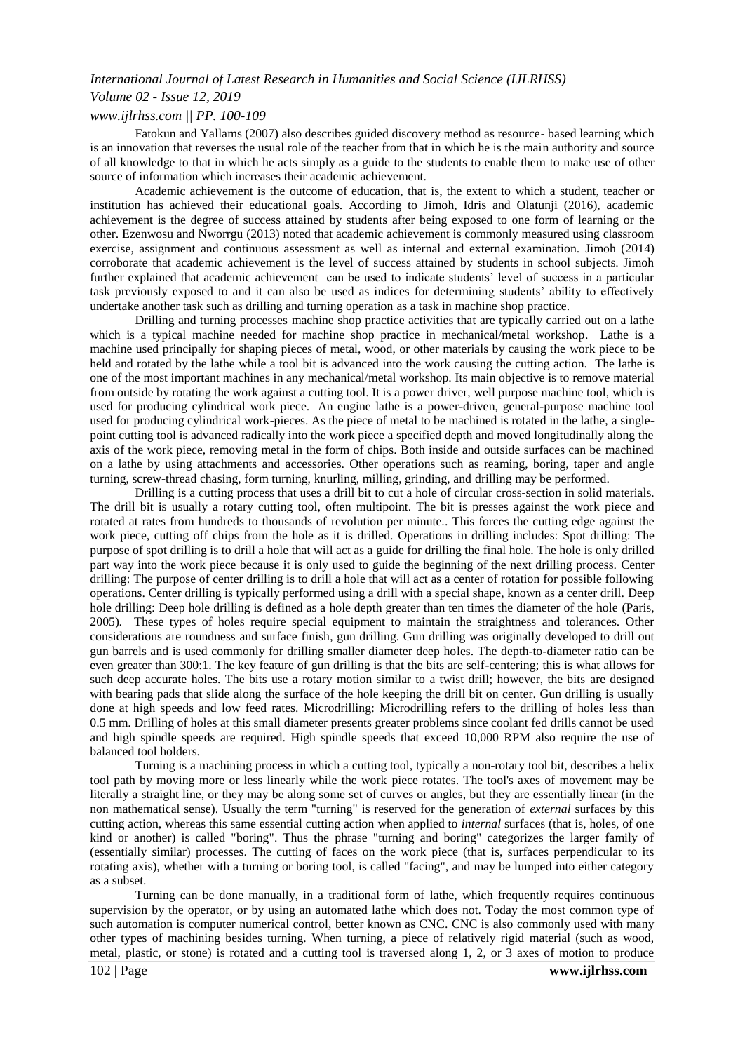# *International Journal of Latest Research in Humanities and Social Science (IJLRHSS) Volume 02 - Issue 12, 2019*

# *www.ijlrhss.com || PP. 100-109*

Fatokun and Yallams (2007) also describes guided discovery method as resource- based learning which is an innovation that reverses the usual role of the teacher from that in which he is the main authority and source of all knowledge to that in which he acts simply as a guide to the students to enable them to make use of other source of information which increases their academic achievement.

Academic achievement is the outcome of education, that is, the extent to which a student, teacher or institution has achieved their educational goals. According to Jimoh, Idris and Olatunji (2016), academic achievement is the degree of success attained by students after being exposed to one form of learning or the other. Ezenwosu and Nworrgu (2013) noted that academic achievement is commonly measured using classroom exercise, assignment and continuous assessment as well as internal and external examination. Jimoh (2014) corroborate that academic achievement is the level of success attained by students in school subjects. Jimoh further explained that academic achievement can be used to indicate students' level of success in a particular task previously exposed to and it can also be used as indices for determining students' ability to effectively undertake another task such as drilling and turning operation as a task in machine shop practice.

Drilling and turning processes machine shop practice activities that are typically carried out on a lathe which is a typical machine needed for machine shop practice in mechanical/metal workshop. Lathe is a machine used principally for shaping pieces of metal, wood, or other materials by causing the work piece to be held and rotated by the lathe while a tool bit is advanced into the work causing the cutting action. The lathe is one of the most important machines in any mechanical/metal workshop. Its main objective is to remove material from outside by rotating the work against a cutting tool. It is a power driver, well purpose machine tool, which is used for producing cylindrical work piece. An engine lathe is a power-driven, general-purpose machine tool used for producing cylindrical work-pieces. As the piece of metal to be machined is rotated in the lathe, a singlepoint cutting tool is advanced radically into the work piece a specified depth and moved longitudinally along the axis of the work piece, removing metal in the form of chips. Both inside and outside surfaces can be machined on a lathe by using attachments and accessories. Other operations such as reaming, boring, taper and angle turning, screw-thread chasing, form turning, knurling, milling, grinding, and drilling may be performed.

Drilling is a cutting process that uses a drill bit to cut a hole of circular cross-section in solid materials. The drill bit is usually a rotary cutting tool, often multipoint. The bit is presses against the work piece and rotated at rates from hundreds to thousands of revolution per minute.. This forces the cutting edge against the work piece, cutting off chips from the hole as it is drilled. Operations in drilling includes: Spot drilling: The purpose of spot drilling is to drill a hole that will act as a guide for drilling the final hole. The hole is only drilled part way into the work piece because it is only used to guide the beginning of the next drilling process. Center drilling: The purpose of center drilling is to drill a hole that will act as a center of rotation for possible following operations. Center drilling is typically performed using a drill with a special shape, known as a center drill. Deep hole drilling: Deep hole drilling is defined as a hole depth greater than ten times the diameter of the hole (Paris, 2005)*.* These types of holes require special equipment to maintain the straightness and tolerances. Other considerations are roundness and surface finish, gun drilling. Gun drilling was originally developed to drill out gun barrels and is used commonly for drilling smaller diameter deep holes. The depth-to-diameter ratio can be even greater than 300:1. The key feature of gun drilling is that the bits are self-centering; this is what allows for such deep accurate holes. The bits use a rotary motion similar to a twist drill; however, the bits are designed with bearing pads that slide along the surface of the hole keeping the drill bit on center. Gun drilling is usually done at high speeds and low feed rates. Microdrilling: Microdrilling refers to the drilling of holes less than 0.5 mm. Drilling of holes at this small diameter presents greater problems since coolant fed drills cannot be used and high spindle speeds are required. High spindle speeds that exceed 10,000 RPM also require the use of balanced tool holders.

Turning is a machining process in which a cutting tool, typically a non-rotary tool bit, describes a helix tool path by moving more or less linearly while the work piece rotates. The tool's axes of movement may be literally a straight line, or they may be along some set of curves or angles, but they are essentially linear (in the non mathematical sense). Usually the term "turning" is reserved for the generation of *external* surfaces by this cutting action, whereas this same essential cutting action when applied to *internal* surfaces (that is, holes, of one kind or another) is called "boring". Thus the phrase "turning and boring" categorizes the larger family of (essentially similar) processes. The cutting of faces on the work piece (that is, surfaces perpendicular to its rotating axis), whether with a turning or boring tool, is called "facing", and may be lumped into either category as a subset.

Turning can be done manually, in a traditional form of lathe, which frequently requires continuous supervision by the operator, or by using an automated lathe which does not. Today the most common type of such automation is computer numerical control, better known as CNC. CNC is also commonly used with many other types of machining besides turning. When turning, a piece of relatively rigid material (such as wood, metal, plastic, or stone) is rotated and a cutting tool is traversed along 1, 2, or 3 axes of motion to produce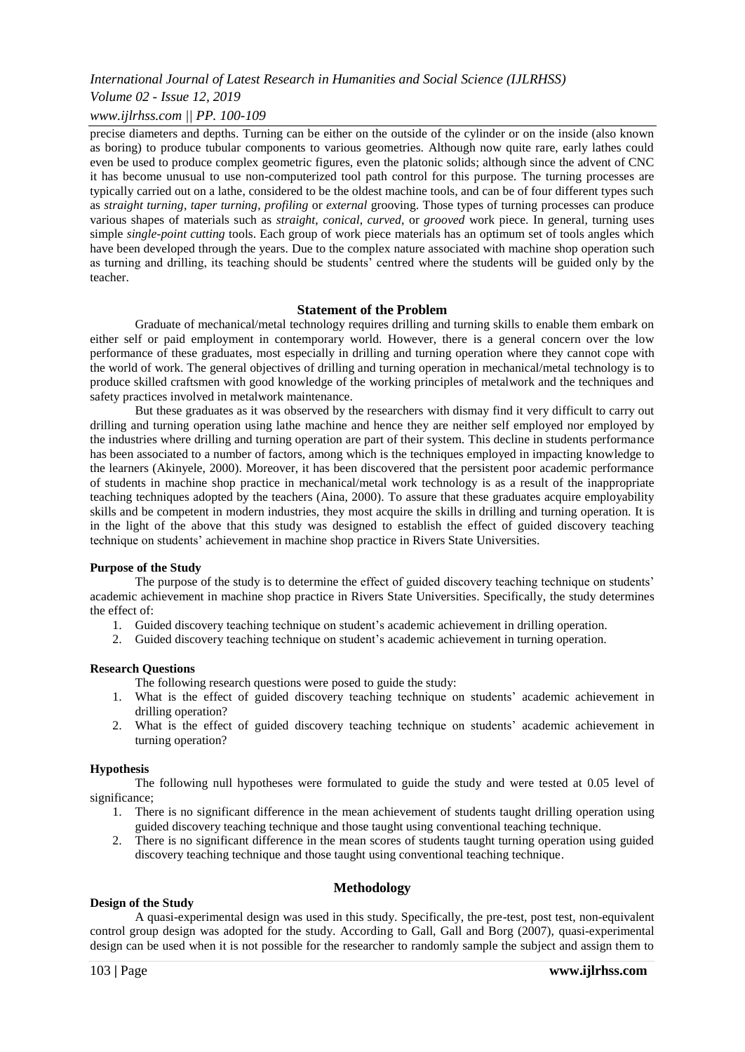# *Volume 02 - Issue 12, 2019*

# *www.ijlrhss.com || PP. 100-109*

precise diameters and depths. Turning can be either on the outside of the cylinder or on the inside (also known as boring) to produce tubular components to various geometries. Although now quite rare, early lathes could even be used to produce complex geometric figures, even the platonic solids; although since the advent of CNC it has become unusual to use non-computerized tool path control for this purpose. The turning processes are typically carried out on a lathe, considered to be the oldest machine tools, and can be of four different types such as *straight turning*, *taper turning*, *profiling* or *external* grooving. Those types of turning processes can produce various shapes of materials such as *straight*, *conical*, *curved*, or *grooved* work piece. In general, turning uses simple *single-point cutting* tools. Each group of work piece materials has an optimum set of tools angles which have been developed through the years. Due to the complex nature associated with machine shop operation such as turning and drilling, its teaching should be students' centred where the students will be guided only by the teacher.

# **Statement of the Problem**

Graduate of mechanical/metal technology requires drilling and turning skills to enable them embark on either self or paid employment in contemporary world. However, there is a general concern over the low performance of these graduates, most especially in drilling and turning operation where they cannot cope with the world of work. The general objectives of drilling and turning operation in mechanical/metal technology is to produce skilled craftsmen with good knowledge of the working principles of metalwork and the techniques and safety practices involved in metalwork maintenance.

But these graduates as it was observed by the researchers with dismay find it very difficult to carry out drilling and turning operation using lathe machine and hence they are neither self employed nor employed by the industries where drilling and turning operation are part of their system. This decline in students performance has been associated to a number of factors, among which is the techniques employed in impacting knowledge to the learners (Akinyele, 2000). Moreover, it has been discovered that the persistent poor academic performance of students in machine shop practice in mechanical/metal work technology is as a result of the inappropriate teaching techniques adopted by the teachers (Aina, 2000). To assure that these graduates acquire employability skills and be competent in modern industries, they most acquire the skills in drilling and turning operation. It is in the light of the above that this study was designed to establish the effect of guided discovery teaching technique on students' achievement in machine shop practice in Rivers State Universities.

#### **Purpose of the Study**

The purpose of the study is to determine the effect of guided discovery teaching technique on students' academic achievement in machine shop practice in Rivers State Universities. Specifically, the study determines the effect of:

- 1. Guided discovery teaching technique on student's academic achievement in drilling operation.
- 2. Guided discovery teaching technique on student's academic achievement in turning operation.

#### **Research Questions**

The following research questions were posed to guide the study:

- 1. What is the effect of guided discovery teaching technique on students' academic achievement in drilling operation?
- 2. What is the effect of guided discovery teaching technique on students' academic achievement in turning operation?

#### **Hypothesis**

The following null hypotheses were formulated to guide the study and were tested at 0.05 level of significance;

- 1. There is no significant difference in the mean achievement of students taught drilling operation using guided discovery teaching technique and those taught using conventional teaching technique.
- 2. There is no significant difference in the mean scores of students taught turning operation using guided discovery teaching technique and those taught using conventional teaching technique.

#### **Methodology**

A quasi-experimental design was used in this study. Specifically, the pre-test, post test, non-equivalent control group design was adopted for the study. According to Gall, Gall and Borg (2007), quasi-experimental design can be used when it is not possible for the researcher to randomly sample the subject and assign them to

**Design of the Study**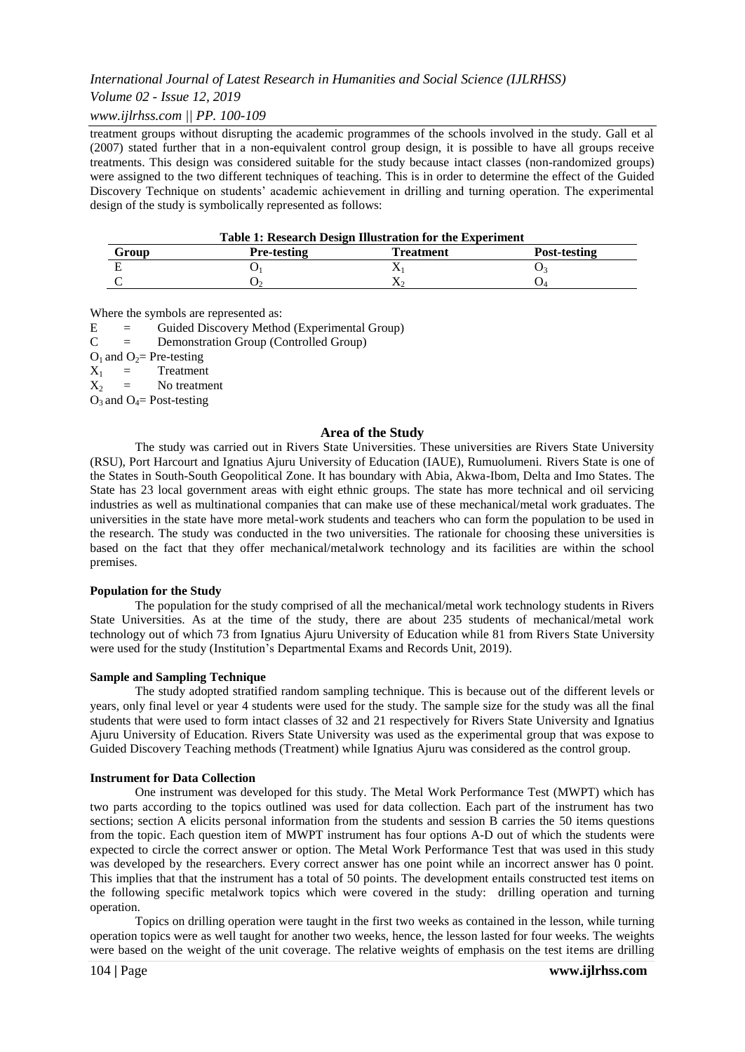*Volume 02 - Issue 12, 2019*

*www.ijlrhss.com || PP. 100-109*

treatment groups without disrupting the academic programmes of the schools involved in the study. Gall et al (2007) stated further that in a non-equivalent control group design, it is possible to have all groups receive treatments. This design was considered suitable for the study because intact classes (non-randomized groups) were assigned to the two different techniques of teaching. This is in order to determine the effect of the Guided Discovery Technique on students' academic achievement in drilling and turning operation. The experimental design of the study is symbolically represented as follows:

| <b>Table 1: Research Design Illustration for the Experiment</b> |                    |           |              |  |  |  |
|-----------------------------------------------------------------|--------------------|-----------|--------------|--|--|--|
| Group                                                           | <b>Pre-testing</b> | Treatment | Post-testing |  |  |  |
|                                                                 |                    |           |              |  |  |  |
|                                                                 |                    |           |              |  |  |  |

Where the symbols are represented as:

E = Guided Discovery Method (Experimental Group)

C = Demonstration Group (Controlled Group)

 $O_1$  and  $O_2$ = Pre-testing

 $X_1$  = Treatment<br> $X_2$  = No treatment

 $X_2$  = No treatment

 $O_3$  and  $O_4$ = Post-testing

#### **Area of the Study**

The study was carried out in Rivers State Universities. These universities are Rivers State University (RSU), Port Harcourt and Ignatius Ajuru University of Education (IAUE), Rumuolumeni. Rivers State is one of the States in South-South Geopolitical Zone. It has boundary with Abia, Akwa-Ibom, Delta and Imo States. The State has 23 local government areas with eight ethnic groups. The state has more technical and oil servicing industries as well as multinational companies that can make use of these mechanical/metal work graduates. The universities in the state have more metal-work students and teachers who can form the population to be used in the research. The study was conducted in the two universities. The rationale for choosing these universities is based on the fact that they offer mechanical/metalwork technology and its facilities are within the school premises.

#### **Population for the Study**

The population for the study comprised of all the mechanical/metal work technology students in Rivers State Universities. As at the time of the study, there are about 235 students of mechanical/metal work technology out of which 73 from Ignatius Ajuru University of Education while 81 from Rivers State University were used for the study (Institution's Departmental Exams and Records Unit, 2019).

#### **Sample and Sampling Technique**

The study adopted stratified random sampling technique. This is because out of the different levels or years, only final level or year 4 students were used for the study. The sample size for the study was all the final students that were used to form intact classes of 32 and 21 respectively for Rivers State University and Ignatius Ajuru University of Education. Rivers State University was used as the experimental group that was expose to Guided Discovery Teaching methods (Treatment) while Ignatius Ajuru was considered as the control group.

#### **Instrument for Data Collection**

One instrument was developed for this study. The Metal Work Performance Test (MWPT) which has two parts according to the topics outlined was used for data collection. Each part of the instrument has two sections; section A elicits personal information from the students and session B carries the 50 items questions from the topic. Each question item of MWPT instrument has four options A-D out of which the students were expected to circle the correct answer or option. The Metal Work Performance Test that was used in this study was developed by the researchers. Every correct answer has one point while an incorrect answer has 0 point. This implies that that the instrument has a total of 50 points. The development entails constructed test items on the following specific metalwork topics which were covered in the study: drilling operation and turning operation.

Topics on drilling operation were taught in the first two weeks as contained in the lesson, while turning operation topics were as well taught for another two weeks, hence, the lesson lasted for four weeks. The weights were based on the weight of the unit coverage. The relative weights of emphasis on the test items are drilling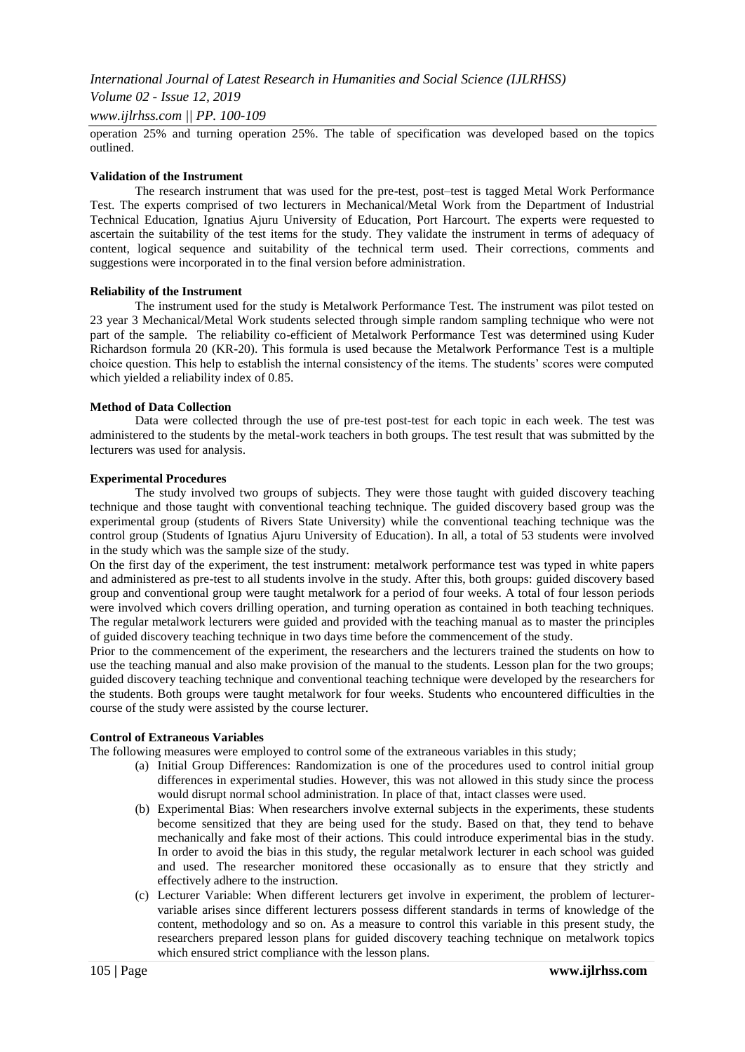*Volume 02 - Issue 12, 2019*

*www.ijlrhss.com || PP. 100-109*

operation 25% and turning operation 25%. The table of specification was developed based on the topics outlined.

#### **Validation of the Instrument**

The research instrument that was used for the pre-test, post–test is tagged Metal Work Performance Test. The experts comprised of two lecturers in Mechanical/Metal Work from the Department of Industrial Technical Education, Ignatius Ajuru University of Education, Port Harcourt. The experts were requested to ascertain the suitability of the test items for the study. They validate the instrument in terms of adequacy of content, logical sequence and suitability of the technical term used. Their corrections, comments and suggestions were incorporated in to the final version before administration.

#### **Reliability of the Instrument**

The instrument used for the study is Metalwork Performance Test. The instrument was pilot tested on 23 year 3 Mechanical/Metal Work students selected through simple random sampling technique who were not part of the sample. The reliability co-efficient of Metalwork Performance Test was determined using Kuder Richardson formula 20 (KR-20). This formula is used because the Metalwork Performance Test is a multiple choice question. This help to establish the internal consistency of the items. The students' scores were computed which yielded a reliability index of 0.85.

#### **Method of Data Collection**

Data were collected through the use of pre-test post-test for each topic in each week. The test was administered to the students by the metal-work teachers in both groups. The test result that was submitted by the lecturers was used for analysis.

#### **Experimental Procedures**

The study involved two groups of subjects. They were those taught with guided discovery teaching technique and those taught with conventional teaching technique. The guided discovery based group was the experimental group (students of Rivers State University) while the conventional teaching technique was the control group (Students of Ignatius Ajuru University of Education). In all, a total of 53 students were involved in the study which was the sample size of the study.

On the first day of the experiment, the test instrument: metalwork performance test was typed in white papers and administered as pre-test to all students involve in the study. After this, both groups: guided discovery based group and conventional group were taught metalwork for a period of four weeks. A total of four lesson periods were involved which covers drilling operation, and turning operation as contained in both teaching techniques. The regular metalwork lecturers were guided and provided with the teaching manual as to master the principles of guided discovery teaching technique in two days time before the commencement of the study.

Prior to the commencement of the experiment, the researchers and the lecturers trained the students on how to use the teaching manual and also make provision of the manual to the students. Lesson plan for the two groups; guided discovery teaching technique and conventional teaching technique were developed by the researchers for the students. Both groups were taught metalwork for four weeks. Students who encountered difficulties in the course of the study were assisted by the course lecturer.

# **Control of Extraneous Variables**

The following measures were employed to control some of the extraneous variables in this study;

- (a) Initial Group Differences: Randomization is one of the procedures used to control initial group differences in experimental studies. However, this was not allowed in this study since the process would disrupt normal school administration. In place of that, intact classes were used.
- (b) Experimental Bias: When researchers involve external subjects in the experiments, these students become sensitized that they are being used for the study. Based on that, they tend to behave mechanically and fake most of their actions. This could introduce experimental bias in the study. In order to avoid the bias in this study, the regular metalwork lecturer in each school was guided and used. The researcher monitored these occasionally as to ensure that they strictly and effectively adhere to the instruction.
- (c) Lecturer Variable: When different lecturers get involve in experiment, the problem of lecturervariable arises since different lecturers possess different standards in terms of knowledge of the content, methodology and so on. As a measure to control this variable in this present study, the researchers prepared lesson plans for guided discovery teaching technique on metalwork topics which ensured strict compliance with the lesson plans.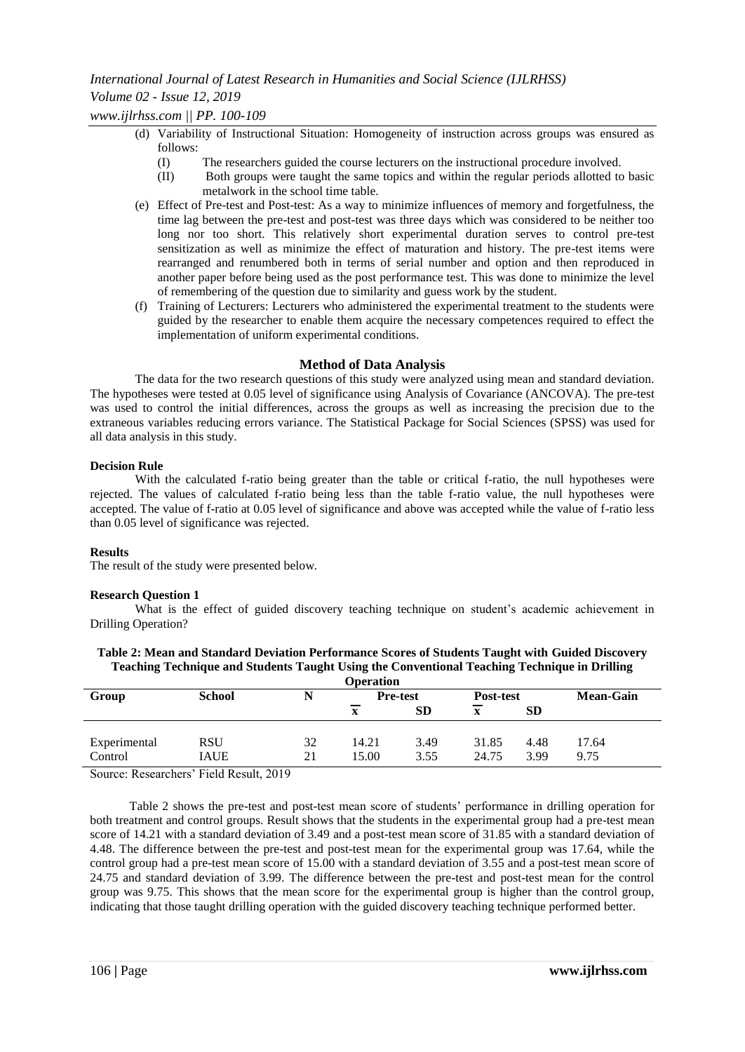*International Journal of Latest Research in Humanities and Social Science (IJLRHSS) Volume 02 - Issue 12, 2019*

*www.ijlrhss.com || PP. 100-109*

- (d) Variability of Instructional Situation: Homogeneity of instruction across groups was ensured as follows:
	- (I) The researchers guided the course lecturers on the instructional procedure involved.
	- (II) Both groups were taught the same topics and within the regular periods allotted to basic metalwork in the school time table.
- (e) Effect of Pre-test and Post-test: As a way to minimize influences of memory and forgetfulness, the time lag between the pre-test and post-test was three days which was considered to be neither too long nor too short. This relatively short experimental duration serves to control pre-test sensitization as well as minimize the effect of maturation and history. The pre-test items were rearranged and renumbered both in terms of serial number and option and then reproduced in another paper before being used as the post performance test. This was done to minimize the level of remembering of the question due to similarity and guess work by the student.
- (f) Training of Lecturers: Lecturers who administered the experimental treatment to the students were guided by the researcher to enable them acquire the necessary competences required to effect the implementation of uniform experimental conditions.

#### **Method of Data Analysis**

The data for the two research questions of this study were analyzed using mean and standard deviation. The hypotheses were tested at 0.05 level of significance using Analysis of Covariance (ANCOVA). The pre-test was used to control the initial differences, across the groups as well as increasing the precision due to the extraneous variables reducing errors variance. The Statistical Package for Social Sciences (SPSS) was used for all data analysis in this study.

#### **Decision Rule**

With the calculated f-ratio being greater than the table or critical f-ratio, the null hypotheses were rejected. The values of calculated f-ratio being less than the table f-ratio value, the null hypotheses were accepted. The value of f-ratio at 0.05 level of significance and above was accepted while the value of f-ratio less than 0.05 level of significance was rejected.

#### **Results**

The result of the study were presented below.

#### **Research Question 1**

What is the effect of guided discovery teaching technique on student's academic achievement in Drilling Operation?

| <b>Operation</b> |               |    |                 |           |           |           |                  |
|------------------|---------------|----|-----------------|-----------|-----------|-----------|------------------|
| Group            | <b>School</b> |    | <b>Pre-test</b> |           | Post-test |           | <b>Mean-Gain</b> |
|                  |               |    | x               | <b>SD</b> |           | <b>SD</b> |                  |
|                  |               |    |                 |           |           |           |                  |
| Experimental     | <b>RSU</b>    | 32 | 14.21           | 3.49      | 31.85     | 4.48      | 17.64            |
| Control          | <b>IAUE</b>   | 21 | 15.00           | 3.55      | 24.75     | 3.99      | 9.75             |

**Table 2: Mean and Standard Deviation Performance Scores of Students Taught with Guided Discovery Teaching Technique and Students Taught Using the Conventional Teaching Technique in Drilling** 

Source: Researchers' Field Result, 2019

Table 2 shows the pre-test and post-test mean score of students' performance in drilling operation for both treatment and control groups. Result shows that the students in the experimental group had a pre-test mean score of 14.21 with a standard deviation of 3.49 and a post-test mean score of 31.85 with a standard deviation of 4.48. The difference between the pre-test and post-test mean for the experimental group was 17.64, while the control group had a pre-test mean score of 15.00 with a standard deviation of 3.55 and a post-test mean score of 24.75 and standard deviation of 3.99. The difference between the pre-test and post-test mean for the control group was 9.75. This shows that the mean score for the experimental group is higher than the control group, indicating that those taught drilling operation with the guided discovery teaching technique performed better.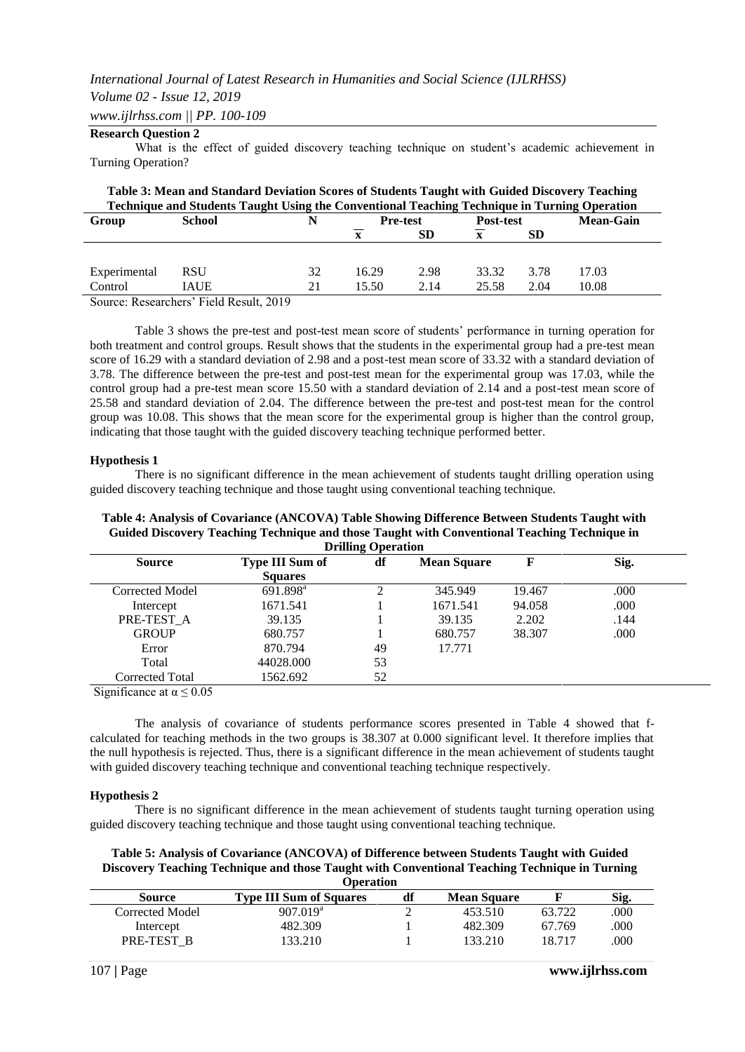#### *Volume 02 - Issue 12, 2019*

*www.ijlrhss.com || PP. 100-109*

# **Research Question 2**

What is the effect of guided discovery teaching technique on student's academic achievement in Turning Operation?

| Table 3: Mean and Standard Deviation Scores of Students Taught with Guided Discovery Teaching       |               |    |                                     |           |              |                  |       |  |
|-----------------------------------------------------------------------------------------------------|---------------|----|-------------------------------------|-----------|--------------|------------------|-------|--|
| <b>Technique and Students Taught Using the Conventional Teaching Technique in Turning Operation</b> |               |    |                                     |           |              |                  |       |  |
| Group                                                                                               | <b>School</b> |    | <b>Pre-test</b><br><b>Post-test</b> |           |              | <b>Mean-Gain</b> |       |  |
|                                                                                                     |               |    |                                     | <b>SD</b> | $\mathbf{x}$ | SD.              |       |  |
|                                                                                                     |               |    |                                     |           |              |                  |       |  |
| Experimental                                                                                        | <b>RSU</b>    | 32 | 16.29                               | 2.98      | 33.32        | 3.78             | 17.03 |  |
| Control                                                                                             | <b>IAUE</b>   | 21 | 15.50                               | 2.14      | 25.58        | 2.04             | 10.08 |  |

Source: Researchers' Field Result, 2019

Table 3 shows the pre-test and post-test mean score of students' performance in turning operation for both treatment and control groups. Result shows that the students in the experimental group had a pre-test mean score of 16.29 with a standard deviation of 2.98 and a post-test mean score of 33.32 with a standard deviation of 3.78. The difference between the pre-test and post-test mean for the experimental group was 17.03, while the control group had a pre-test mean score 15.50 with a standard deviation of 2.14 and a post-test mean score of 25.58 and standard deviation of 2.04. The difference between the pre-test and post-test mean for the control group was 10.08. This shows that the mean score for the experimental group is higher than the control group, indicating that those taught with the guided discovery teaching technique performed better.

#### **Hypothesis 1**

There is no significant difference in the mean achievement of students taught drilling operation using guided discovery teaching technique and those taught using conventional teaching technique.

#### **Table 4: Analysis of Covariance (ANCOVA) Table Showing Difference Between Students Taught with Guided Discovery Teaching Technique and those Taught with Conventional Teaching Technique in Drilling Operation**

| <b>Source</b>   | df<br><b>Type III Sum of</b> |    | <b>Mean Square</b> | F      | Sig. |
|-----------------|------------------------------|----|--------------------|--------|------|
|                 | <b>Squares</b>               |    |                    |        |      |
| Corrected Model | 691.898 <sup>a</sup>         | C. | 345.949            | 19.467 | .000 |
| Intercept       | 1671.541                     |    | 1671.541           | 94.058 | .000 |
| PRE-TEST A      | 39.135                       |    | 39.135             | 2.202  | .144 |
| <b>GROUP</b>    | 680.757                      |    | 680.757            | 38.307 | .000 |
| Error           | 870.794                      | 49 | 17.771             |        |      |
| Total           | 44028,000                    | 53 |                    |        |      |
| Corrected Total | 1562.692                     | 52 |                    |        |      |

Significance at  $\alpha \leq 0.05$ 

The analysis of covariance of students performance scores presented in Table 4 showed that fcalculated for teaching methods in the two groups is 38.307 at 0.000 significant level. It therefore implies that the null hypothesis is rejected. Thus, there is a significant difference in the mean achievement of students taught with guided discovery teaching technique and conventional teaching technique respectively.

#### **Hypothesis 2**

There is no significant difference in the mean achievement of students taught turning operation using guided discovery teaching technique and those taught using conventional teaching technique.

**Table 5: Analysis of Covariance (ANCOVA) of Difference between Students Taught with Guided Discovery Teaching Technique and those Taught with Conventional Teaching Technique in Turning Operation**

|                 | <b>ODELATION</b>               |    |                    |        |      |  |  |  |  |
|-----------------|--------------------------------|----|--------------------|--------|------|--|--|--|--|
| Source          | <b>Type III Sum of Squares</b> | df | <b>Mean Square</b> |        | Sig. |  |  |  |  |
| Corrected Model | 907.019 <sup>a</sup>           |    | 453.510            | 63.722 | .000 |  |  |  |  |
| Intercept       | 482.309                        |    | 482.309            | 67.769 | .000 |  |  |  |  |
| PRE-TEST B      | 133.210                        |    | 133.210            | 18.717 | .000 |  |  |  |  |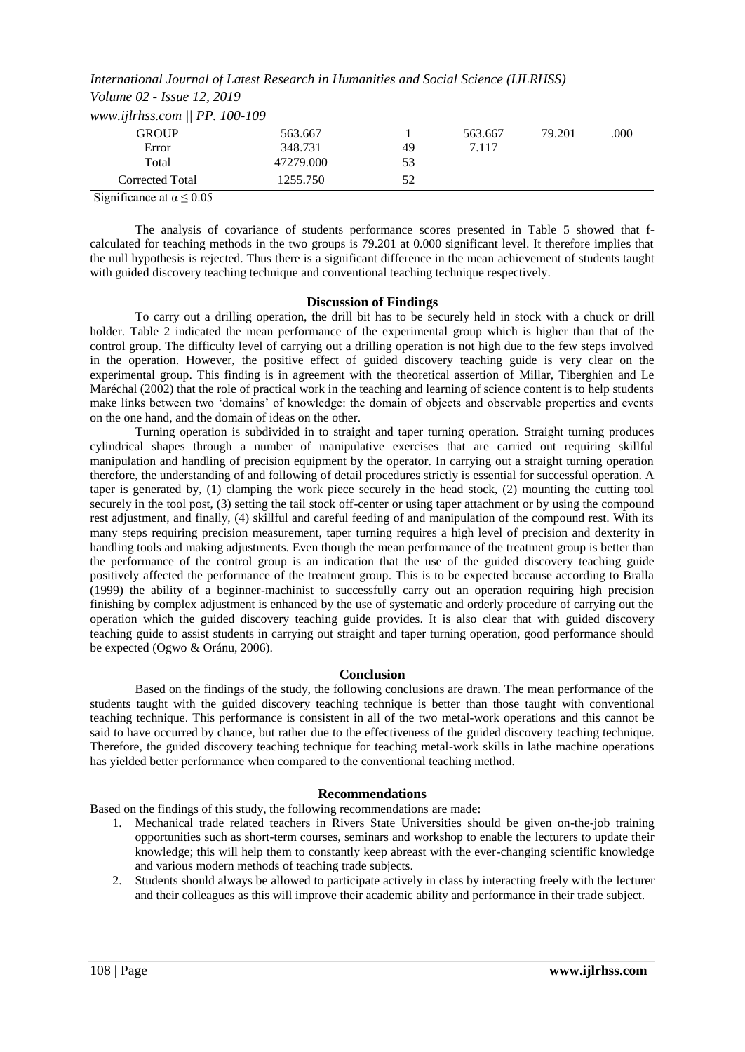*International Journal of Latest Research in Humanities and Social Science (IJLRHSS) Volume 02 - Issue 12, 2019 www.ijlrhss.com || PP. 100-109*

| $\frac{1}{2}$   |           |    |         |        |      |
|-----------------|-----------|----|---------|--------|------|
| GROUP           | 563.667   |    | 563.667 | 79.201 | .000 |
| Error           | 348.731   | 49 | 7.117   |        |      |
| Total           | 47279.000 | 53 |         |        |      |
| Corrected Total | 1255.750  | 52 |         |        |      |

Significance at  $\alpha \leq 0.05$ 

The analysis of covariance of students performance scores presented in Table 5 showed that fcalculated for teaching methods in the two groups is 79.201 at 0.000 significant level. It therefore implies that the null hypothesis is rejected. Thus there is a significant difference in the mean achievement of students taught with guided discovery teaching technique and conventional teaching technique respectively.

#### **Discussion of Findings**

To carry out a drilling operation, the drill bit has to be securely held in stock with a chuck or drill holder. Table 2 indicated the mean performance of the experimental group which is higher than that of the control group. The difficulty level of carrying out a drilling operation is not high due to the few steps involved in the operation. However, the positive effect of guided discovery teaching guide is very clear on the experimental group. This finding is in agreement with the theoretical assertion of Millar, Tiberghien and Le Maréchal (2002) that the role of practical work in the teaching and learning of science content is to help students make links between two 'domains' of knowledge: the domain of objects and observable properties and events on the one hand, and the domain of ideas on the other.

Turning operation is subdivided in to straight and taper turning operation. Straight turning produces cylindrical shapes through a number of manipulative exercises that are carried out requiring skillful manipulation and handling of precision equipment by the operator. In carrying out a straight turning operation therefore, the understanding of and following of detail procedures strictly is essential for successful operation. A taper is generated by, (1) clamping the work piece securely in the head stock, (2) mounting the cutting tool securely in the tool post, (3) setting the tail stock off-center or using taper attachment or by using the compound rest adjustment, and finally, (4) skillful and careful feeding of and manipulation of the compound rest. With its many steps requiring precision measurement, taper turning requires a high level of precision and dexterity in handling tools and making adjustments. Even though the mean performance of the treatment group is better than the performance of the control group is an indication that the use of the guided discovery teaching guide positively affected the performance of the treatment group. This is to be expected because according to Bralla (1999) the ability of a beginner-machinist to successfully carry out an operation requiring high precision finishing by complex adjustment is enhanced by the use of systematic and orderly procedure of carrying out the operation which the guided discovery teaching guide provides. It is also clear that with guided discovery teaching guide to assist students in carrying out straight and taper turning operation, good performance should be expected (Ogwo & Oránu, 2006).

#### **Conclusion**

Based on the findings of the study, the following conclusions are drawn. The mean performance of the students taught with the guided discovery teaching technique is better than those taught with conventional teaching technique. This performance is consistent in all of the two metal-work operations and this cannot be said to have occurred by chance, but rather due to the effectiveness of the guided discovery teaching technique. Therefore, the guided discovery teaching technique for teaching metal-work skills in lathe machine operations has yielded better performance when compared to the conventional teaching method.

#### **Recommendations**

Based on the findings of this study, the following recommendations are made:

- 1. Mechanical trade related teachers in Rivers State Universities should be given on-the-job training opportunities such as short-term courses, seminars and workshop to enable the lecturers to update their knowledge; this will help them to constantly keep abreast with the ever-changing scientific knowledge and various modern methods of teaching trade subjects.
- 2. Students should always be allowed to participate actively in class by interacting freely with the lecturer and their colleagues as this will improve their academic ability and performance in their trade subject.